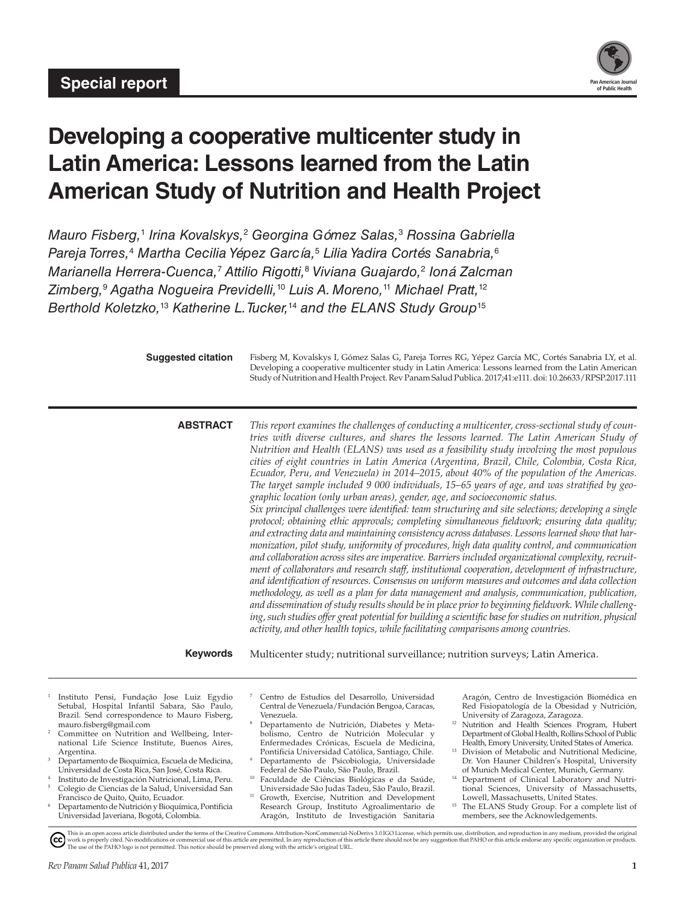

# **Developing a cooperative multicenter study in Latin America: Lessons learned from the Latin American Study of Nutrition and Health Project**

*Mauro Fisberg,*<sup>1</sup>  *Irina Kovalskys,*<sup>2</sup>  *Georgina Gómez Salas,*<sup>3</sup>  *Rossina Gabriella Pareja Torres,*<sup>4</sup>  *Martha Cecilia Yépez García,*<sup>5</sup>  *Lilia Yadira Cortés Sanabria,*<sup>6</sup> *Marianella Herrera-Cuenca,*<sup>7</sup>  *Attilio Rigotti,*<sup>8</sup>  *Viviana Guajardo,*<sup>2</sup>  *Ioná Zalcman Zimberg,*<sup>9</sup>  *Agatha Nogueira Previdelli,*10 *Luis A. Moreno,*11 *Michael Pratt,*<sup>12</sup> *Berthold Koletzko,*13 *Katherine L. Tucker,*14 *and the ELANS Study Group*<sup>15</sup>

| <b>Suggested citation</b> | Fisberg M, Kovalskys I, Gómez Salas G, Pareja Torres RG, Yépez García MC, Cortés Sanabria LY, et al.      |
|---------------------------|-----------------------------------------------------------------------------------------------------------|
|                           | Developing a cooperative multicenter study in Latin America: Lessons learned from the Latin American      |
|                           | Study of Nutrition and Health Project. Rev Panam Salud Publica. 2017;41:e111. doi: 10.26633/RPSP.2017.111 |
|                           |                                                                                                           |

**ABSTRACT** *This report examines the challenges of conducting a multicenter, cross-sectional study of countries with diverse cultures, and shares the lessons learned. The Latin American Study of Nutrition and Health (ELANS) was used as a feasibility study involving the most populous cities of eight countries in Latin America (Argentina, Brazil, Chile, Colombia, Costa Rica, Ecuador, Peru, and Venezuela) in 2014–2015, about 40% of the population of the Americas. The target sample included 9 000 individuals, 15–65 years of age, and was stratified by geographic location (only urban areas), gender, age, and socioeconomic status. Six principal challenges were identified: team structuring and site selections; developing a single protocol; obtaining ethic approvals; completing simultaneous fieldwork; ensuring data quality; and extracting data and maintaining consistency across databases. Lessons learned show that harmonization, pilot study, uniformity of procedures, high data quality control, and communication and collaboration across sites are imperative. Barriers included organizational complexity, recruitment of collaborators and research staff, institutional cooperation, development of infrastructure, and identification of resources. Consensus on uniform measures and outcomes and data collection methodology, as well as a plan for data management and analysis, communication, publication, and dissemination of study results should be in place prior to beginning fieldwork. While challenging, such studies offer great potential for building a scientific base for studies on nutrition, physical activity, and other health topics, while facilitating comparisons among countries.*

**Keywords** Multicenter study; nutritional surveillance; nutrition surveys; Latin America.

- <sup>1</sup> Instituto Pensi, Fundação Jose Luiz Egydio Setubal, Hospital Infantil Sabara, São Paulo, Brazil. Send correspondence to Mauro Fisberg, [mauro.fisberg@gmail.com](mailto:mauro.fisberg@gmail.com)
- <sup>2</sup> Committee on Nutrition and Wellbeing, International Life Science Institute, Buenos Aires, Argentina.
- Departamento de Bioquímica, Escuela de Medicina, Universidad de Costa Rica, San José, Costa Rica.
- Instituto de Investigación Nutricional, Lima, Peru. <sup>5</sup> Colegio de Ciencias de la Salud, Universidad San
- Francisco de Quito, Quito, Ecuador. <sup>6</sup> Departamento de Nutrición y Bioquímica, Pontificia Universidad Javeriana, Bogotá, Colombia.
- <sup>7</sup> Centro de Estudios del Desarrollo, Universidad Central de Venezuela/Fundación Bengoa, Caracas, Venezuela.
- Departamento de Nutrición, Diabetes y Metabolismo, Centro de Nutrición Molecular y Enfermedades Crónicas, Escuela de Medicina, Pontificia Universidad Católica, Santiago, Chile.
- <sup>9</sup> Departamento de Psicobiologia, Universidade Federal de São Paulo, São Paulo, Brazil.
- <sup>10</sup> Faculdade de Ciências Biológicas e da Saúde, Universidade São Judas Tadeu, São Paulo, Brazil.
- <sup>11</sup> Growth, Exercise, Nutrition and Development Research Group, Instituto Agroalimentario de Aragón, Instituto de Investigación Sanitaria

Aragón, Centro de Investigación Biomédica en Red Fisiopatología de la Obesidad y Nutrición, University of Zaragoza, Zaragoza.

- <sup>12</sup> Nutrition and Health Sciences Program, Hubert Department of Global Health, Rollins School of Public Health, Emory University, United States of America.
- Division of Metabolic and Nutritional Medicine, Dr. Von Hauner Children's Hospital, University of Munich Medical Center, Munich, Germany.
- <sup>14</sup> Department of Clinical Laboratory and Nutritional Sciences, University of Massachusetts, Lowell, Massachusetts, United States.
- <sup>15</sup> The ELANS Study Group. For a complete list of members, see the Acknowledgements.

This is an open access article distributed under the terms of the [Creative Commons Attribution-NonCommercial-NoDerivs 3.0 IGO License,](https://creativecommons.org/licenses/by-nc-nd/3.0/igo/legalcode) which permits use, distribution, and reproduction in any medium, provided the original  $\odot$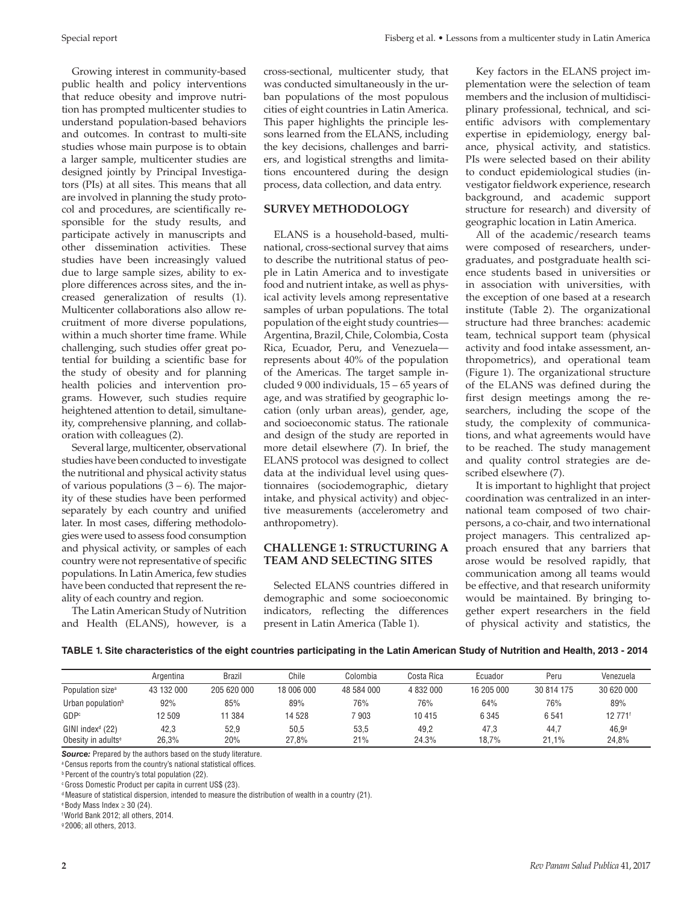Growing interest in community-based public health and policy interventions that reduce obesity and improve nutrition has prompted multicenter studies to understand population-based behaviors and outcomes. In contrast to multi-site studies whose main purpose is to obtain a larger sample, multicenter studies are designed jointly by Principal Investigators (PIs) at all sites. This means that all are involved in planning the study protocol and procedures, are scientifically responsible for the study results, and participate actively in manuscripts and other dissemination activities. These studies have been increasingly valued due to large sample sizes, ability to explore differences across sites, and the increased generalization of results (1). Multicenter collaborations also allow recruitment of more diverse populations, within a much shorter time frame. While challenging, such studies offer great potential for building a scientific base for the study of obesity and for planning health policies and intervention programs. However, such studies require heightened attention to detail, simultaneity, comprehensive planning, and collaboration with colleagues (2).

Several large, multicenter, observational studies have been conducted to investigate the nutritional and physical activity status of various populations  $(3 - 6)$ . The majority of these studies have been performed separately by each country and unified later. In most cases, differing methodologies were used to assess food consumption and physical activity, or samples of each country were not representative of specific populations. In Latin America, few studies have been conducted that represent the reality of each country and region.

The Latin American Study of Nutrition and Health (ELANS), however, is a cross-sectional, multicenter study, that was conducted simultaneously in the urban populations of the most populous cities of eight countries in Latin America. This paper highlights the principle lessons learned from the ELANS, including the key decisions, challenges and barriers, and logistical strengths and limitations encountered during the design process, data collection, and data entry.

# **SURVEY METHODOLOGY**

ELANS is a household-based, multi national, cross-sectional survey that aims to describe the nutritional status of people in Latin America and to investigate food and nutrient intake, as well as physical activity levels among representative samples of urban populations. The total population of the eight study countries— Argentina, Brazil, Chile, Colombia, Costa Rica, Ecuador, Peru, and Venezuela represents about 40% of the population of the Americas. The target sample included 9 000 individuals, 15 – 65 years of age, and was stratified by geographic location (only urban areas), gender, age, and socioeconomic status. The rationale and design of the study are reported in more detail elsewhere (7). In brief, the ELANS protocol was designed to collect data at the individual level using questionnaires (sociodemographic, dietary intake, and physical activity) and objective measurements (accelerometry and anthropometry).

# **CHALLENGE 1: STRUCTURING A TEAM AND SELECTING SITES**

Selected ELANS countries differed in demographic and some socioeconomic indicators, reflecting the differences present in Latin America (Table 1).

Key factors in the ELANS project implementation were the selection of team members and the inclusion of multidisciplinary professional, technical, and scientific advisors with complementary expertise in epidemiology, energy balance, physical activity, and statistics. PIs were selected based on their ability to conduct epidemiological studies (investigator fieldwork experience, research background, and academic support structure for research) and diversity of geographic location in Latin America.

All of the academic/research teams were composed of researchers, undergraduates, and postgraduate health science students based in universities or in association with universities, with the exception of one based at a research institute (Table 2). The organizational structure had three branches: academic team, technical support team (physical activity and food intake assessment, anthropometrics), and operational team (Figure 1). The organizational structure of the ELANS was defined during the first design meetings among the researchers, including the scope of the study, the complexity of communications, and what agreements would have to be reached. The study management and quality control strategies are described elsewhere (7).

It is important to highlight that project coordination was centralized in an international team composed of two chairpersons, a co-chair, and two international project managers. This centralized approach ensured that any barriers that arose would be resolved rapidly, that communication among all teams would be effective, and that research uniformity would be maintained. By bringing together expert researchers in the field of physical activity and statistics, the

# **TABLE 1. Site characteristics of the eight countries participating in the Latin American Study of Nutrition and Health, 2013 - 2014**

|                                | Argentina  | <b>Brazil</b> | Chile      | Colombia   | Costa Rica | Ecuador    | Peru       | Venezuela           |
|--------------------------------|------------|---------------|------------|------------|------------|------------|------------|---------------------|
| Population size <sup>a</sup>   | 43 132 000 | 205 620 000   | 18 006 000 | 48 584 000 | 4 832 000  | 16 205 000 | 30 814 175 | 30 620 000          |
| Urban population <sup>b</sup>  | 92%        | 85%           | 89%        | 76%        | 76%        | 64%        | 76%        | 89%                 |
| GDP <sup>c</sup>               | 12 509     | 1 3 8 4       | 14 528     | 7903       | 10415      | 6 3 4 5    | 6541       | 12 771 <sup>f</sup> |
| $GINI$ index $d$ (22)          | 42.3       | 52,9          | 50.5       | 53,5       | 49.2       | 47.3       | 44.7       | 46.99               |
| Obesity in adults <sup>e</sup> | 26.3%      | 20%           | 27.8%      | 21%        | 24.3%      | 18.7%      | 21.1%      | 24.8%               |

*Source:* Prepared by the authors based on the study literature.

<sup>a</sup> Census reports from the country's national statistical offices.

*b* Percent of the country's total population (22).

c Gross Domestic Product per capita in current US\$ (23).

d Measure of statistical dispersion, intended to measure the distribution of wealth in a country (21).

 $e$  Body Mass Index  $\geq$  30 (24).

f World Bank 2012; all others, 2014.

g 2006; all others, 2013.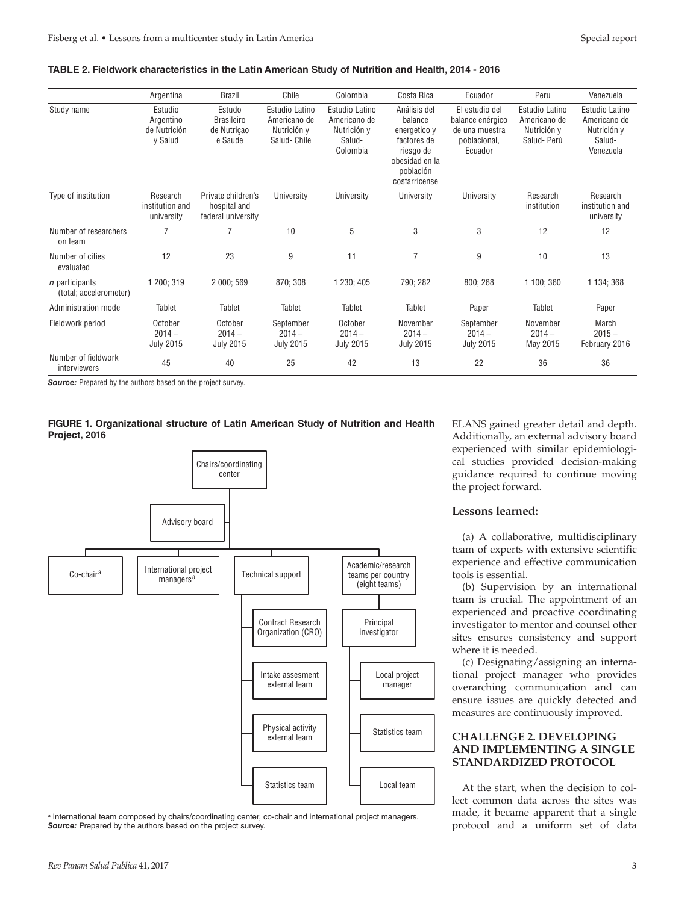#### **TABLE 2. Fieldwork characteristics in the Latin American Study of Nutrition and Health, 2014 - 2016**

|                                            | Argentina                                       | <b>Brazil</b>                                            | Chile                                                        | Colombia                                                            | Costa Rica                                                                                                          | Ecuador                                                                         | Peru                                                        | Venezuela                                                            |
|--------------------------------------------|-------------------------------------------------|----------------------------------------------------------|--------------------------------------------------------------|---------------------------------------------------------------------|---------------------------------------------------------------------------------------------------------------------|---------------------------------------------------------------------------------|-------------------------------------------------------------|----------------------------------------------------------------------|
| Study name                                 | Estudio<br>Argentino<br>de Nutrición<br>y Salud | Estudo<br><b>Brasileiro</b><br>de Nutricao<br>e Saude    | Estudio Latino<br>Americano de<br>Nutrición y<br>Salud-Chile | Estudio Latino<br>Americano de<br>Nutrición y<br>Salud-<br>Colombia | Análisis del<br>balance<br>energetico y<br>factores de<br>riesgo de<br>obesidad en la<br>población<br>costarricense | El estudio del<br>balance enérgico<br>de una muestra<br>poblacional,<br>Ecuador | Estudio Latino<br>Americano de<br>Nutrición y<br>Salud-Perú | Estudio Latino<br>Americano de<br>Nutrición y<br>Salud-<br>Venezuela |
| Type of institution                        | Research<br>institution and<br>university       | Private children's<br>hospital and<br>federal university | University                                                   | University                                                          | University                                                                                                          | University                                                                      | Research<br>institution                                     | Research<br>institution and<br>university                            |
| Number of researchers<br>on team           |                                                 | 7                                                        | 10                                                           | 5                                                                   | 3                                                                                                                   | 3                                                                               | 12                                                          | 12                                                                   |
| Number of cities<br>evaluated              | 12                                              | 23                                                       | 9                                                            | 11                                                                  | $\overline{7}$                                                                                                      | 9                                                                               | 10                                                          | 13                                                                   |
| $n$ participants<br>(total; accelerometer) | 1 200; 319                                      | 2 000; 569                                               | 870; 308                                                     | 1 230; 405                                                          | 790; 282                                                                                                            | 800; 268                                                                        | 1 100; 360                                                  | 1 134; 368                                                           |
| Administration mode                        | Tablet                                          | Tablet                                                   | Tablet                                                       | Tablet                                                              | Tablet                                                                                                              | Paper                                                                           | Tablet                                                      | Paper                                                                |
| Fieldwork period                           | October<br>$2014 -$<br><b>July 2015</b>         | October<br>$2014 -$<br><b>July 2015</b>                  | September<br>$2014 -$<br><b>July 2015</b>                    | October<br>$2014 -$<br><b>July 2015</b>                             | November<br>$2014 -$<br><b>July 2015</b>                                                                            | September<br>$2014 -$<br><b>July 2015</b>                                       | November<br>$2014 -$<br>May 2015                            | March<br>$2015 -$<br>February 2016                                   |
| Number of fieldwork<br>interviewers        | 45                                              | 40                                                       | 25                                                           | 42                                                                  | 13                                                                                                                  | 22                                                                              | 36                                                          | 36                                                                   |

**Source:** Prepared by the authors based on the project survey.





<sup>a</sup> International team composed by chairs/coordinating center, co-chair and international project managers. *Source:* Prepared by the authors based on the project survey.

ELANS gained greater detail and depth. Additionally, an external advisory board experienced with similar epidemiological studies provided decision-making guidance required to continue moving the project forward.

#### **Lessons learned:**

(a) A collaborative, multidisciplinary team of experts with extensive scientific experience and effective communication tools is essential.

(b) Supervision by an international team is crucial. The appointment of an experienced and proactive coordinating investigator to mentor and counsel other sites ensures consistency and support where it is needed.

(c) Designating/assigning an international project manager who provides overarching communication and can ensure issues are quickly detected and measures are continuously improved.

## **CHALLENGE 2. DEVELOPING AND IMPLEMENTING A SINGLE STANDARDIZED PROTOCOL**

At the start, when the decision to collect common data across the sites was made, it became apparent that a single protocol and a uniform set of data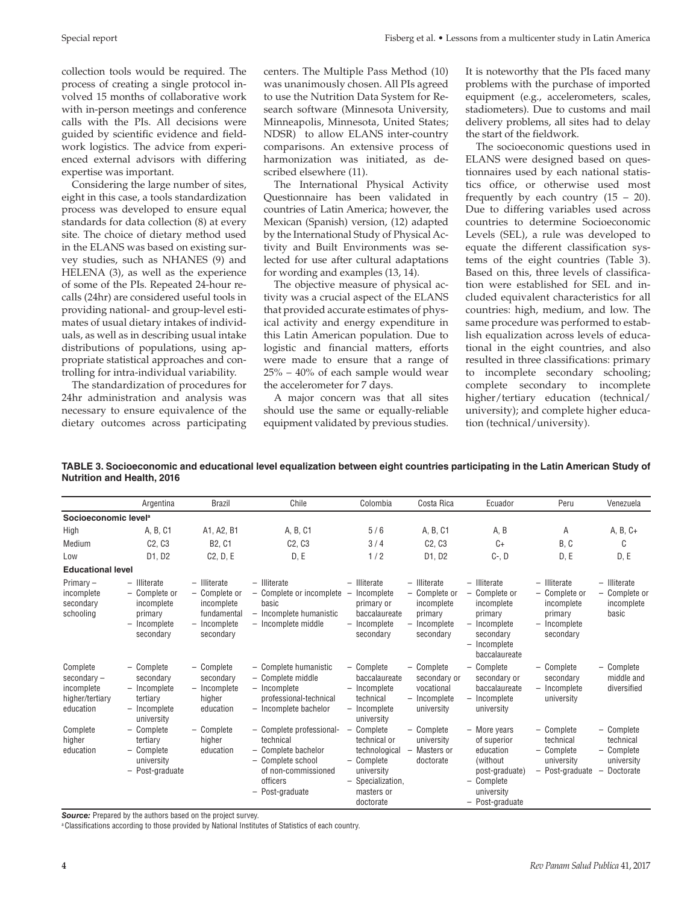Special report Fisberg et al. • Lessons from a multicenter study in Latin America

collection tools would be required. The process of creating a single protocol involved 15 months of collaborative work with in-person meetings and conference calls with the PIs. All decisions were guided by scientific evidence and fieldwork logistics. The advice from experienced external advisors with differing expertise was important.

Considering the large number of sites, eight in this case, a tools standardization process was developed to ensure equal standards for data collection (8) at every site. The choice of dietary method used in the ELANS was based on existing survey studies, such as NHANES (9) and HELENA (3), as well as the experience of some of the PIs. Repeated 24-hour recalls (24hr) are considered useful tools in providing national- and group-level estimates of usual dietary intakes of individuals, as well as in describing usual intake distributions of populations, using appropriate statistical approaches and controlling for intra-individual variability.

The standardization of procedures for 24hr administration and analysis was necessary to ensure equivalence of the dietary outcomes across participating centers. The Multiple Pass Method (10) was unanimously chosen. All PIs agreed to use the Nutrition Data System for Research software (Minnesota University, Minneapolis, Minnesota, United States; NDSR) to allow ELANS inter-country comparisons. An extensive process of harmonization was initiated, as described elsewhere (11).

The International Physical Activity Questionnaire has been validated in countries of Latin America; however, the Mexican (Spanish) version, (12) adapted by the International Study of Physical Activity and Built Environments was selected for use after cultural adaptations for wording and examples (13, 14).

The objective measure of physical activity was a crucial aspect of the ELANS that provided accurate estimates of physical activity and energy expenditure in this Latin American population. Due to logistic and financial matters, efforts were made to ensure that a range of 25% – 40% of each sample would wear the accelerometer for 7 days.

A major concern was that all sites should use the same or equally-reliable equipment validated by previous studies. It is noteworthy that the PIs faced many problems with the purchase of imported equipment (e.g., accelerometers, scales, stadiometers). Due to customs and mail delivery problems, all sites had to delay the start of the fieldwork.

The socioeconomic questions used in ELANS were designed based on questionnaires used by each national statistics office, or otherwise used most frequently by each country  $(15 - 20)$ . Due to differing variables used across countries to determine Socioeconomic Levels (SEL), a rule was developed to equate the different classification systems of the eight countries (Table 3). Based on this, three levels of classification were established for SEL and included equivalent characteristics for all countries: high, medium, and low. The same procedure was performed to establish equalization across levels of educational in the eight countries, and also resulted in three classifications: primary to incomplete secondary schooling; complete secondary to incomplete higher/tertiary education (technical/ university); and complete higher education (technical/university).

**TABLE 3. Socioeconomic and educational level equalization between eight countries participating in the Latin American Study of Nutrition and Health, 2016**

|                                                                         | Argentina                                                                                       | <b>Brazil</b>                                                                             | Chile                                                                                                                                   | Colombia                                                                                                              | Costa Rica                                                                            | Ecuador                                                                                                                | Peru                                                                                | Venezuela                                                        |  |  |
|-------------------------------------------------------------------------|-------------------------------------------------------------------------------------------------|-------------------------------------------------------------------------------------------|-----------------------------------------------------------------------------------------------------------------------------------------|-----------------------------------------------------------------------------------------------------------------------|---------------------------------------------------------------------------------------|------------------------------------------------------------------------------------------------------------------------|-------------------------------------------------------------------------------------|------------------------------------------------------------------|--|--|
| Socioeconomic level <sup>a</sup>                                        |                                                                                                 |                                                                                           |                                                                                                                                         |                                                                                                                       |                                                                                       |                                                                                                                        |                                                                                     |                                                                  |  |  |
| High                                                                    | A, B, C1                                                                                        | A1, A2, B1                                                                                | A, B, C1                                                                                                                                | 5/6                                                                                                                   | A, B, C1                                                                              | A, B                                                                                                                   | Α                                                                                   | $A, B, C+$                                                       |  |  |
| Medium                                                                  | C2, C3                                                                                          | <b>B2, C1</b>                                                                             | C2, C3                                                                                                                                  | 3/4                                                                                                                   | C2, C3                                                                                | $C+$                                                                                                                   | B, C                                                                                | C                                                                |  |  |
| Low                                                                     | D1, D2                                                                                          | C2, D, E                                                                                  | D, E                                                                                                                                    | 1/2                                                                                                                   | D1, D2                                                                                | $C-$ , $D$                                                                                                             | D, E                                                                                | D, E                                                             |  |  |
|                                                                         | <b>Educational level</b>                                                                        |                                                                                           |                                                                                                                                         |                                                                                                                       |                                                                                       |                                                                                                                        |                                                                                     |                                                                  |  |  |
| Primary $-$<br>incomplete<br>secondary<br>schooling                     | $-$ Illiterate<br>- Complete or<br>incomplete<br>primary<br>- Incomplete<br>secondary           | $-$ Illiterate<br>- Complete or<br>incomplete<br>fundamental<br>- Incomplete<br>secondary | $-$ Illiterate<br>- Complete or incomplete<br>basic<br>- Incomplete humanistic<br>- Incomplete middle                                   | - Illiterate<br>Incomplete<br>-<br>primary or<br>baccalaureate<br>- Incomplete<br>secondary                           | - Illiterate<br>- Complete or<br>incomplete<br>primary<br>$-$ Incomplete<br>secondary | - Illiterate<br>- Complete or<br>incomplete<br>primary<br>- Incomplete<br>secondary<br>- Incomplete<br>baccalaureate   | - Illiterate<br>- Complete or<br>incomplete<br>primary<br>- Incomplete<br>secondary | - Illiterate<br>- Complete or<br>incomplete<br>basic             |  |  |
| Complete<br>$secondary -$<br>incomplete<br>higher/tertiary<br>education | - Complete<br>secondary<br>- Incomplete<br>tertiary<br>- Incomplete<br>university               | - Complete<br>secondary<br>- Incomplete<br>higher<br>education                            | - Complete humanistic<br>- Complete middle<br>- Incomplete<br>professional-technical<br>- Incomplete bachelor                           | - Complete<br>baccalaureate<br>- Incomplete<br>technical<br>- Incomplete<br>university                                | - Complete<br>secondary or<br>vocational<br>- Incomplete<br>university                | - Complete<br>secondary or<br>baccalaureate<br>- Incomplete<br>university                                              | - Complete<br>secondary<br>- Incomplete<br>university                               | - Complete<br>middle and<br>diversified                          |  |  |
| Complete<br>higher<br>education                                         | Complete<br>$\overline{\phantom{0}}$<br>tertiary<br>- Complete<br>university<br>- Post-graduate | - Complete<br>higher<br>education                                                         | - Complete professional-<br>technical<br>- Complete bachelor<br>- Complete school<br>of non-commissioned<br>officers<br>- Post-graduate | Complete<br>technical or<br>technological<br>- Complete<br>university<br>- Specialization,<br>masters or<br>doctorate | - Complete<br>university<br>- Masters or<br>doctorate                                 | - More years<br>of superior<br>education<br>(without)<br>post-graduate)<br>- Complete<br>university<br>- Post-graduate | - Complete<br>technical<br>- Complete<br>university<br>- Post-graduate              | - Complete<br>technical<br>- Complete<br>university<br>Doctorate |  |  |

*Source:* Prepared by the authors based on the project survey.

<sup>a</sup> Classifications according to those provided by National Institutes of Statistics of each country.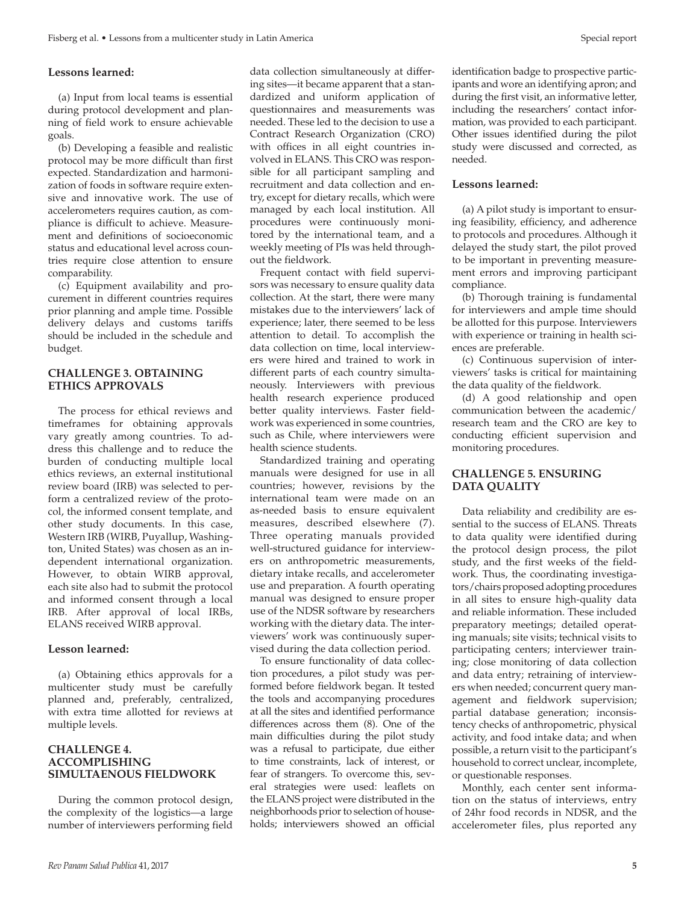# **Lessons learned:**

(a) Input from local teams is essential during protocol development and planning of field work to ensure achievable goals.

(b) Developing a feasible and realistic protocol may be more difficult than first expected. Standardization and harmonization of foods in software require extensive and innovative work. The use of accelerometers requires caution, as compliance is difficult to achieve. Measurement and definitions of socioeconomic status and educational level across countries require close attention to ensure comparability.

(c) Equipment availability and procurement in different countries requires prior planning and ample time. Possible delivery delays and customs tariffs should be included in the schedule and budget.

# **CHALLENGE 3. OBTAINING ETHICS APPROVALS**

The process for ethical reviews and timeframes for obtaining approvals vary greatly among countries. To address this challenge and to reduce the burden of conducting multiple local ethics reviews, an external institutional review board (IRB) was selected to perform a centralized review of the protocol, the informed consent template, and other study documents. In this case, Western IRB (WIRB, Puyallup, Washington, United States) was chosen as an independent international organization. However, to obtain WIRB approval, each site also had to submit the protocol and informed consent through a local IRB. After approval of local IRBs, ELANS received WIRB approval.

#### **Lesson learned:**

(a) Obtaining ethics approvals for a multicenter study must be carefully planned and, preferably, centralized, with extra time allotted for reviews at multiple levels.

## **CHALLENGE 4. ACCOMPLISHING SIMULTAENOUS FIELDWORK**

During the common protocol design, the complexity of the logistics—a large number of interviewers performing field data collection simultaneously at differing sites—it became apparent that a standardized and uniform application of questionnaires and measurements was needed. These led to the decision to use a Contract Research Organization (CRO) with offices in all eight countries involved in ELANS. This CRO was responsible for all participant sampling and recruitment and data collection and entry, except for dietary recalls, which were managed by each local institution. All procedures were continuously monitored by the international team, and a weekly meeting of PIs was held throughout the fieldwork.

Frequent contact with field supervisors was necessary to ensure quality data collection. At the start, there were many mistakes due to the interviewers' lack of experience; later, there seemed to be less attention to detail. To accomplish the data collection on time, local interviewers were hired and trained to work in different parts of each country simultaneously. Interviewers with previous health research experience produced better quality interviews. Faster fieldwork was experienced in some countries, such as Chile, where interviewers were health science students.

Standardized training and operating manuals were designed for use in all countries; however, revisions by the international team were made on an as-needed basis to ensure equivalent measures, described elsewhere (7). Three operating manuals provided well-structured guidance for interviewers on anthropometric measurements, dietary intake recalls, and accelerometer use and preparation. A fourth operating manual was designed to ensure proper use of the NDSR software by researchers working with the dietary data. The interviewers' work was continuously supervised during the data collection period.

To ensure functionality of data collection procedures, a pilot study was performed before fieldwork began. It tested the tools and accompanying procedures at all the sites and identified performance differences across them (8). One of the main difficulties during the pilot study was a refusal to participate, due either to time constraints, lack of interest, or fear of strangers. To overcome this, several strategies were used: leaflets on the ELANS project were distributed in the neighborhoods prior to selection of households; interviewers showed an official

identification badge to prospective participants and wore an identifying apron; and during the first visit, an informative letter, including the researchers' contact information, was provided to each participant. Other issues identified during the pilot study were discussed and corrected, as needed.

#### **Lessons learned:**

(a) A pilot study is important to ensuring feasibility, efficiency, and adherence to protocols and procedures. Although it delayed the study start, the pilot proved to be important in preventing measurement errors and improving participant compliance.

(b) Thorough training is fundamental for interviewers and ample time should be allotted for this purpose. Interviewers with experience or training in health sciences are preferable.

(c) Continuous supervision of interviewers' tasks is critical for maintaining the data quality of the fieldwork.

(d) A good relationship and open communication between the academic/ research team and the CRO are key to conducting efficient supervision and monitoring procedures.

# **CHALLENGE 5. ENSURING DATA QUALITY**

Data reliability and credibility are essential to the success of ELANS. Threats to data quality were identified during the protocol design process, the pilot study, and the first weeks of the fieldwork. Thus, the coordinating investigators/chairs proposed adopting procedures in all sites to ensure high-quality data and reliable information. These included preparatory meetings; detailed operating manuals; site visits; technical visits to participating centers; interviewer training; close monitoring of data collection and data entry; retraining of interviewers when needed; concurrent query management and fieldwork supervision; partial database generation; inconsistency checks of anthropometric, physical activity, and food intake data; and when possible, a return visit to the participant's household to correct unclear, incomplete, or questionable responses.

Monthly, each center sent information on the status of interviews, entry of 24hr food records in NDSR, and the accelerometer files, plus reported any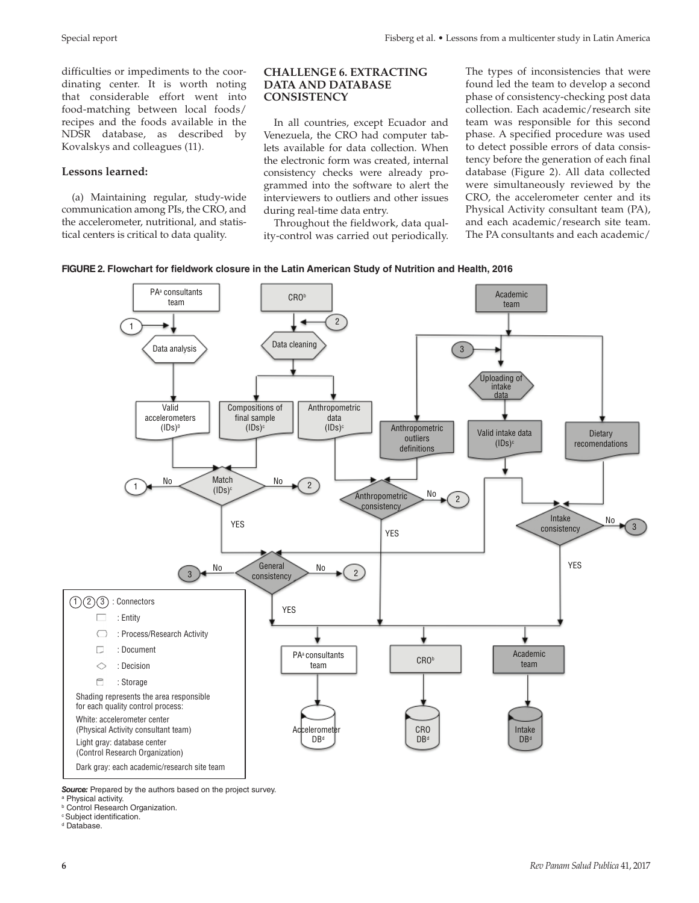difficulties or impediments to the coordinating center. It is worth noting that considerable effort went into food-matching between local foods/ recipes and the foods available in the NDSR database, as described by Kovalskys and colleagues (11).

## **Lessons learned:**

(a) Maintaining regular, study-wide communication among PIs, the CRO, and the accelerometer, nutritional, and statistical centers is critical to data quality.

#### **CHALLENGE 6. EXTRACTING DATA AND DATABASE CONSISTENCY**

In all countries, except Ecuador and Venezuela, the CRO had computer tablets available for data collection. When the electronic form was created, internal consistency checks were already programmed into the software to alert the interviewers to outliers and other issues during real-time data entry.

Throughout the fieldwork, data quality-control was carried out periodically. The types of inconsistencies that were found led the team to develop a second phase of consistency-checking post data collection. Each academic/research site team was responsible for this second phase. A specified procedure was used to detect possible errors of data consistency before the generation of each final database (Figure 2). All data collected were simultaneously reviewed by the CRO, the accelerometer center and its Physical Activity consultant team (PA), and each academic/research site team. The PA consultants and each academic/





*Source:* Prepared by the authors based on the project survey.

<sup>a</sup> Physical activity.

**Control Research Organization.** 

c Subject identification.

<sup>d</sup> Database.

**6** *Rev Panam Salud Publica* 41, 2017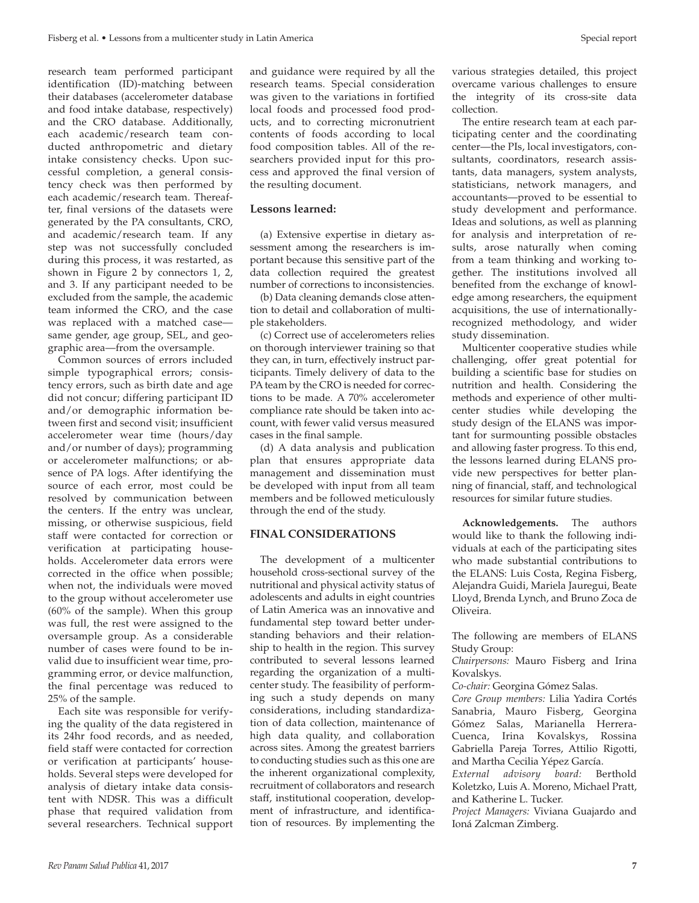research team performed participant identification (ID)-matching between their databases (accelerometer database and food intake database, respectively) and the CRO database. Additionally, each academic/research team conducted anthropometric and dietary intake consistency checks. Upon successful completion, a general consistency check was then performed by each academic/research team. Thereafter, final versions of the datasets were generated by the PA consultants, CRO, and academic/research team. If any step was not successfully concluded during this process, it was restarted, as shown in Figure 2 by connectors 1, 2, and 3. If any participant needed to be excluded from the sample, the academic team informed the CRO, and the case was replaced with a matched case same gender, age group, SEL, and geographic area—from the oversample.

Common sources of errors included simple typographical errors; consistency errors, such as birth date and age did not concur; differing participant ID and/or demographic information between first and second visit; insufficient accelerometer wear time (hours/day and/or number of days); programming or accelerometer malfunctions; or absence of PA logs. After identifying the source of each error, most could be resolved by communication between the centers. If the entry was unclear, missing, or otherwise suspicious, field staff were contacted for correction or verification at participating households. Accelerometer data errors were corrected in the office when possible; when not, the individuals were moved to the group without accelerometer use (60% of the sample). When this group was full, the rest were assigned to the oversample group. As a considerable number of cases were found to be invalid due to insufficient wear time, programming error, or device malfunction, the final percentage was reduced to 25% of the sample.

Each site was responsible for verifying the quality of the data registered in its 24hr food records, and as needed, field staff were contacted for correction or verification at participants' households. Several steps were developed for analysis of dietary intake data consistent with NDSR. This was a difficult phase that required validation from several researchers. Technical support and guidance were required by all the research teams. Special consideration was given to the variations in fortified local foods and processed food products, and to correcting micronutrient contents of foods according to local food composition tables. All of the researchers provided input for this process and approved the final version of the resulting document.

#### **Lessons learned:**

(a) Extensive expertise in dietary assessment among the researchers is important because this sensitive part of the data collection required the greatest number of corrections to inconsistencies.

(b) Data cleaning demands close attention to detail and collaboration of multiple stakeholders.

(c) Correct use of accelerometers relies on thorough interviewer training so that they can, in turn, effectively instruct participants. Timely delivery of data to the PA team by the CRO is needed for corrections to be made. A 70% accelerometer compliance rate should be taken into account, with fewer valid versus measured cases in the final sample.

(d) A data analysis and publication plan that ensures appropriate data management and dissemination must be developed with input from all team members and be followed meticulously through the end of the study.

# **FINAL CONSIDERATIONS**

The development of a multicenter household cross-sectional survey of the nutritional and physical activity status of adolescents and adults in eight countries of Latin America was an innovative and fundamental step toward better understanding behaviors and their relationship to health in the region. This survey contributed to several lessons learned regarding the organization of a multicenter study. The feasibility of performing such a study depends on many considerations, including standardization of data collection, maintenance of high data quality, and collaboration across sites. Among the greatest barriers to conducting studies such as this one are the inherent organizational complexity, recruitment of collaborators and research staff, institutional cooperation, development of infrastructure, and identification of resources. By implementing the

various strategies detailed, this project overcame various challenges to ensure the integrity of its cross-site data collection.

The entire research team at each participating center and the coordinating center—the PIs, local investigators, consultants, coordinators, research assistants, data managers, system analysts, statisticians, network managers, and accountants—proved to be essential to study development and performance. Ideas and solutions, as well as planning for analysis and interpretation of results, arose naturally when coming from a team thinking and working together. The institutions involved all benefited from the exchange of knowledge among researchers, the equipment acquisitions, the use of internationally-recognized methodology, and wider study dissemination.

Multicenter cooperative studies while challenging, offer great potential for building a scientific base for studies on nutrition and health. Considering the methods and experience of other multicenter studies while developing the study design of the ELANS was important for surmounting possible obstacles and allowing faster progress. To this end, the lessons learned during ELANS provide new perspectives for better planning of financial, staff, and technological resources for similar future studies.

**Acknowledgements.** The authors would like to thank the following individuals at each of the participating sites who made substantial contributions to the ELANS: Luis Costa, Regina Fisberg, Alejandra Guidi, Mariela Jauregui, Beate Lloyd, Brenda Lynch, and Bruno Zoca de Oliveira.

The following are members of ELANS Study Group:

*Chairpersons:* Mauro Fisberg and Irina Kovalskys.

*Co-chair:* Georgina Gómez Salas.

*Core Group members:* Lilia Yadira Cortés Sanabria, Mauro Fisberg, Georgina Gómez Salas, Marianella Herrera-Cuenca, Irina Kovalskys, Rossina Gabriella Pareja Torres, Attilio Rigotti, and Martha Cecilia Yépez García.

*External advisory board:* Berthold Koletzko, Luis A. Moreno, Michael Pratt, and Katherine L. Tucker.

*Project Managers:* Viviana Guajardo and Ioná Zalcman Zimberg.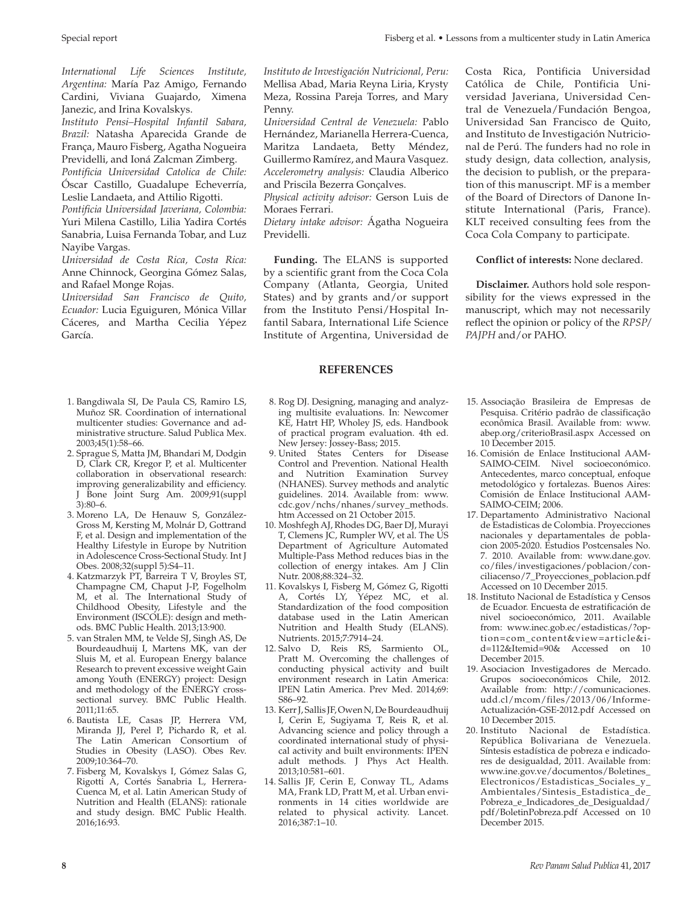*International Life Sciences Institute, Argentina:* María Paz Amigo, Fernando Cardini, Viviana Guajardo, Ximena Janezic, and Irina Kovalskys.

*Instituto Pensi–Hospital Infantil Sabara, Brazil:* Natasha Aparecida Grande de França, Mauro Fisberg, Agatha Nogueira Previdelli, and Ioná Zalcman Zimberg.

*Pontificia Universidad Catolica de Chile:*  Óscar Castillo, Guadalupe Echeverría, Leslie Landaeta, and Attilio Rigotti.

*Pontificia Universidad Javeriana, Colombia:*  Yuri Milena Castillo, Lilia Yadira Cortés Sanabria, Luisa Fernanda Tobar, and Luz Nayibe Vargas.

*Universidad de Costa Rica, Costa Rica:*  Anne Chinnock, Georgina Gómez Salas, and Rafael Monge Rojas.

*Universidad San Francisco de Quito, Ecuador:* Lucia Eguiguren, Mónica Villar Cáceres, and Martha Cecilia Yépez García.

- 1. Bangdiwala SI, De Paula CS, Ramiro LS, Muñoz SR. Coordination of international multicenter studies: Governance and administrative structure. Salud Publica Mex. 2003;45(1):58–66.
- 2. Sprague S, Matta JM, Bhandari M, Dodgin D, Clark CR, Kregor P, et al. Multicenter collaboration in observational research: improving generalizability and efficiency. J Bone Joint Surg Am. 2009;91(suppl 3):80–6.
- 3. Moreno LA, De Henauw S, González-Gross M, Kersting M, Molnár D, Gottrand F, et al. Design and implementation of the Healthy Lifestyle in Europe by Nutrition in Adolescence Cross-Sectional Study. Int J Obes. 2008;32(suppl 5):S4–11.
- 4. Katzmarzyk PT, Barreira T V, Broyles ST, Champagne CM, Chaput J-P, Fogelholm M, et al. The International Study of Childhood Obesity, Lifestyle and the Environment (ISCOLE): design and methods. BMC Public Health. 2013;13:900.
- 5. van Stralen MM, te Velde SJ, Singh AS, De Bourdeaudhuij I, Martens MK, van der Sluis M, et al. European Energy balance Research to prevent excessive weight Gain among Youth (ENERGY) project: Design and methodology of the ENERGY crosssectional survey. BMC Public Health. 2011;11:65.
- 6. Bautista LE, Casas JP, Herrera VM, Miranda JJ, Perel P, Pichardo R, et al. The Latin American Consortium of Studies in Obesity (LASO). Obes Rev. 2009;10:364–70.
- 7. Fisberg M, Kovalskys I, Gómez Salas G, Rigotti A, Cortés Sanabria L, Herrera-Cuenca M, et al. Latin American Study of Nutrition and Health (ELANS): rationale and study design. BMC Public Health. 2016;16:93.

*Instituto de Investigación Nutricional, Peru:* Mellisa Abad, Maria Reyna Liria, Krysty Meza, Rossina Pareja Torres, and Mary Penny.

*Universidad Central de Venezuela:* Pablo Hernández, Marianella Herrera-Cuenca, Maritza Landaeta, Betty Méndez, Guillermo Ramírez, and Maura Vasquez. *Accelerometry analysis:* Claudia Alberico and Priscila Bezerra Gonçalves.

*Physical activity advisor:* Gerson Luis de Moraes Ferrari.

*Dietary intake advisor:* Ágatha Nogueira Previdelli.

**Funding.** The ELANS is supported by a scientific grant from the Coca Cola Company (Atlanta, Georgia, United States) and by grants and/or support from the Instituto Pensi/Hospital Infantil Sabara, International Life Science Institute of Argentina, Universidad de

# **REFERENCES**

- 8. Rog DJ. Designing, managing and analyzing multisite evaluations. In: Newcomer KE, Hatrt HP, Wholey JS, eds. Handbook of practical program evaluation. 4th ed. New Jersey: Jossey-Bass; 2015.
- 9. United States Centers for Disease Control and Prevention. National Health and Nutrition Examination Survey (NHANES). Survey methods and analytic guidelines. 2014. Available from: [www.](www.cdc.gov/nchs/nhanes/survey_methods.htm) [cdc.gov/nchs/nhanes/survey\\_methods.](www.cdc.gov/nchs/nhanes/survey_methods.htm) [htm](www.cdc.gov/nchs/nhanes/survey_methods.htm) Accessed on 21 October 2015.
- 10. Moshfegh AJ, Rhodes DG, Baer DJ, Murayi T, Clemens JC, Rumpler WV, et al. The US Department of Agriculture Automated Multiple-Pass Method reduces bias in the collection of energy intakes. Am J Clin Nutr. 2008;88:324–32.
- 11. Kovalskys I, Fisberg M, Gómez G, Rigotti A, Cortés LY, Yépez MC, et al. Standardization of the food composition database used in the Latin American Nutrition and Health Study (ELANS). Nutrients. 2015;7:7914–24.
- 12. Salvo D, Reis RS, Sarmiento OL, Pratt M. Overcoming the challenges of conducting physical activity and built environment research in Latin America: IPEN Latin America. Prev Med. 2014;69: S86–92.
- 13. Kerr J, Sallis JF, Owen N, De Bourdeaudhuij I, Cerin E, Sugiyama T, Reis R, et al. Advancing science and policy through a coordinated international study of physical activity and built environments: IPEN adult methods. J Phys Act Health. 2013;10:581–601.
- 14. Sallis JF, Cerin E, Conway TL, Adams MA, Frank LD, Pratt M, et al. Urban environments in 14 cities worldwide are related to physical activity. Lancet. 2016;387:1–10.

Costa Rica, Pontificia Universidad Católica de Chile, Pontificia Universidad Javeriana, Universidad Central de Venezuela/Fundación Bengoa, Universidad San Francisco de Quito, and Instituto de Investigación Nutricional de Perú. The funders had no role in study design, data collection, analysis, the decision to publish, or the preparation of this manuscript. MF is a member of the Board of Directors of Danone Institute International (Paris, France). KLT received consulting fees from the Coca Cola Company to participate.

# **Conflict of interests:** None declared.

**Disclaimer.** Authors hold sole responsibility for the views expressed in the manuscript, which may not necessarily reflect the opinion or policy of the *RPSP/ PAJPH* and/or PAHO.

- 15. Associação Brasileira de Empresas de Pesquisa. Critério padrão de classificação econômica Brasil. Available from: [www.](www.abep.org/criterioBrasil.aspx) [abep.org/criterioBrasil.aspx](www.abep.org/criterioBrasil.aspx) Accessed on 10 December 2015.
- 16. Comisión de Enlace Institucional AAM-SAIMO-CEIM. Nivel socioeconómico. Antecedentes, marco conceptual, enfoque metodológico y fortalezas. Buenos Aires: Comisión de Enlace Institucional AAM-SAIMO-CEIM; 2006.
- 17. Departamento Administrativo Nacional de Estadisticas de Colombia. Proyecciones nacionales y departamentales de poblacion 2005-2020. Estudios Postcensales No. 7. 2010. Available from: [www.dane.gov.](www.dane.gov.co/files/investigaciones/poblacion/conciliacenso/7_Proyecciones_poblacion.pdf) [co/files/investigaciones/poblacion/con](www.dane.gov.co/files/investigaciones/poblacion/conciliacenso/7_Proyecciones_poblacion.pdf)[ciliacenso/7\\_Proyecciones\\_poblacion.pdf](www.dane.gov.co/files/investigaciones/poblacion/conciliacenso/7_Proyecciones_poblacion.pdf) Accessed on 10 December 2015.
- 18. Instituto Nacional de Estadística y Censos de Ecuador. Encuesta de estratificación de nivel socioeconómico, 2011. Available from: [www.inec.gob.ec/estadisticas/?op](www.inec.gob.ec/estadisticas/?option=com_content&view=article&id=112&Itemid=90&)[tion=com\\_content&view=article&i](www.inec.gob.ec/estadisticas/?option=com_content&view=article&id=112&Itemid=90&)[d=112&Itemid=90&](www.inec.gob.ec/estadisticas/?option=com_content&view=article&id=112&Itemid=90&) Accessed on 10 December 2015.
- 19. Asociacion Investigadores de Mercado. Grupos socioeconómicos Chile, 2012. Available from: [http://comunicaciones.](http://comunicaciones.udd.cl/mcom/files/2013/06/Informe-Actualizaci�n-GSE-2012.pdf) [udd.cl/mcom/files/2013/06/Informe-](http://comunicaciones.udd.cl/mcom/files/2013/06/Informe-Actualizaci�n-GSE-2012.pdf)[Actualización-GSE-2012.pdf](http://comunicaciones.udd.cl/mcom/files/2013/06/Informe-Actualizaci�n-GSE-2012.pdf) Accessed on 10 December 2015.
- 20. Instituto Nacional de Estadística. República Bolivariana de Venezuela. Síntesis estadística de pobreza e indicadores de desigualdad, 2011. Available from: [www.ine.gov.ve/documentos/Boletines\\_](www.ine.gov.ve/documentos/Boletines_Electronicos/Estadisticas_Sociales_y_Ambientales/Sintesis_Estadistica_de_Pobreza_e_Indicadores_de_Desigualdad/pdf/BoletinPobreza.pdf) [Electronicos/Estadisticas\\_Sociales\\_y\\_](www.ine.gov.ve/documentos/Boletines_Electronicos/Estadisticas_Sociales_y_Ambientales/Sintesis_Estadistica_de_Pobreza_e_Indicadores_de_Desigualdad/pdf/BoletinPobreza.pdf) [Ambientales/Sintesis\\_Estadistica\\_de\\_](www.ine.gov.ve/documentos/Boletines_Electronicos/Estadisticas_Sociales_y_Ambientales/Sintesis_Estadistica_de_Pobreza_e_Indicadores_de_Desigualdad/pdf/BoletinPobreza.pdf) [Pobreza\\_e\\_Indicadores\\_de\\_Desigualdad/](www.ine.gov.ve/documentos/Boletines_Electronicos/Estadisticas_Sociales_y_Ambientales/Sintesis_Estadistica_de_Pobreza_e_Indicadores_de_Desigualdad/pdf/BoletinPobreza.pdf) [pdf/BoletinPobreza.pdf](www.ine.gov.ve/documentos/Boletines_Electronicos/Estadisticas_Sociales_y_Ambientales/Sintesis_Estadistica_de_Pobreza_e_Indicadores_de_Desigualdad/pdf/BoletinPobreza.pdf) Accessed on 10 December 2015.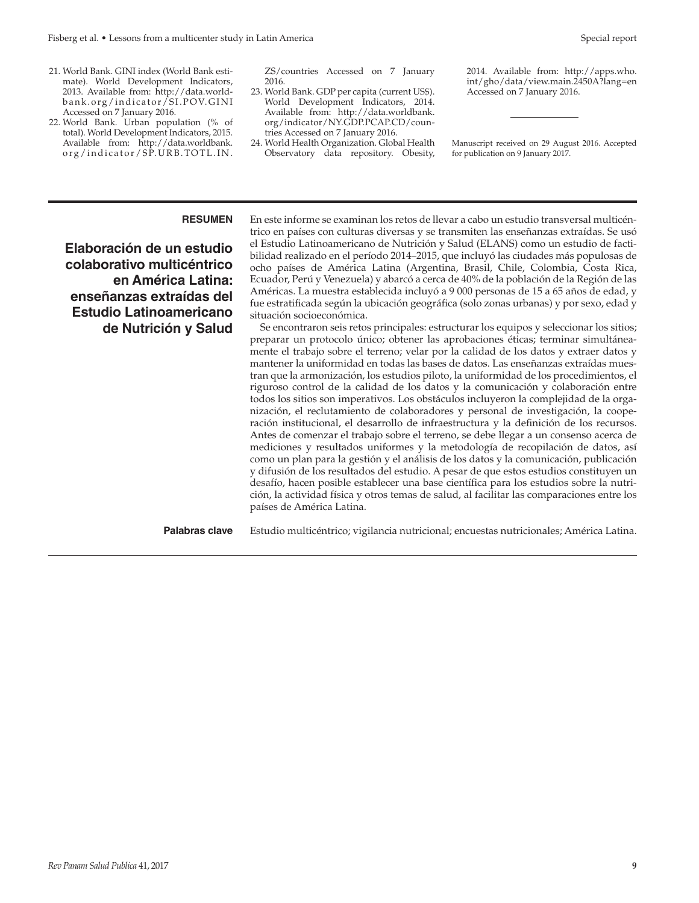- 21. World Bank. GINI index (World Bank estimate). World Development Indicators, 2013. Available from: [http://data.world](http://data.worldbank.org/indicator/SI.POV.GINI)bank.org/indicator/SI.POV.GINI Accessed on 7 January 2016.
- 22. World Bank. Urban population (% of total). World Development Indicators, 2015. Available from: [http://data.worldbank.](http://data.worldbank.org/indicator/SP.URB.TOTL.IN.ZS/countries) org/indicator/SP.URB.TOTL.IN.

[ZS/countries](http://data.worldbank.org/indicator/SP.URB.TOTL.IN.ZS/countries) Accessed on 7 January 2016.

- 23. World Bank. GDP per capita (current US\$). World Development Indicators, 2014. Available from: [http://data.worldbank.](http://data.worldbank.org/indicator/NY.GDP.PCAP.CD/countries) [org/indicator/NY.GDP.PCAP.CD/coun](http://data.worldbank.org/indicator/NY.GDP.PCAP.CD/countries)[tries](http://data.worldbank.org/indicator/NY.GDP.PCAP.CD/countries) Accessed on 7 January 2016.
- 24. World Health Organization. Global Health Observatory data repository. Obesity,

2014. Available from: [http://apps.who.](http://apps.who.int/gho/data/view.main.2450A?lang=en) [int/gho/data/view.main.2450A?lang=en](http://apps.who.int/gho/data/view.main.2450A?lang=en) Accessed on 7 January 2016.

Manuscript received on 29 August 2016. Accepted for publication on 9 January 2017.

**Elaboración de un estudio colaborativo multicéntrico en América Latina: enseñanzas extraídas del Estudio Latinoamericano de Nutrición y Salud**

**RESUMEN** En este informe se examinan los retos de llevar a cabo un estudio transversal multicéntrico en países con culturas diversas y se transmiten las enseñanzas extraídas. Se usó el Estudio Latinoamericano de Nutrición y Salud (ELANS) como un estudio de factibilidad realizado en el período 2014–2015, que incluyó las ciudades más populosas de ocho países de América Latina (Argentina, Brasil, Chile, Colombia, Costa Rica, Ecuador, Perú y Venezuela) y abarcó a cerca de 40% de la población de la Región de las Américas. La muestra establecida incluyó a 9 000 personas de 15 a 65 años de edad, y fue estratificada según la ubicación geográfica (solo zonas urbanas) y por sexo, edad y situación socioeconómica.

Se encontraron seis retos principales: estructurar los equipos y seleccionar los sitios; preparar un protocolo único; obtener las aprobaciones éticas; terminar simultáneamente el trabajo sobre el terreno; velar por la calidad de los datos y extraer datos y mantener la uniformidad en todas las bases de datos. Las enseñanzas extraídas muestran que la armonización, los estudios piloto, la uniformidad de los procedimientos, el riguroso control de la calidad de los datos y la comunicación y colaboración entre todos los sitios son imperativos. Los obstáculos incluyeron la complejidad de la organización, el reclutamiento de colaboradores y personal de investigación, la cooperación institucional, el desarrollo de infraestructura y la definición de los recursos. Antes de comenzar el trabajo sobre el terreno, se debe llegar a un consenso acerca de mediciones y resultados uniformes y la metodología de recopilación de datos, así como un plan para la gestión y el análisis de los datos y la comunicación, publicación y difusión de los resultados del estudio. A pesar de que estos estudios constituyen un desafío, hacen posible establecer una base científica para los estudios sobre la nutrición, la actividad física y otros temas de salud, al facilitar las comparaciones entre los países de América Latina.

**Palabras clave** Estudio multicéntrico; vigilancia nutricional; encuestas nutricionales; América Latina.